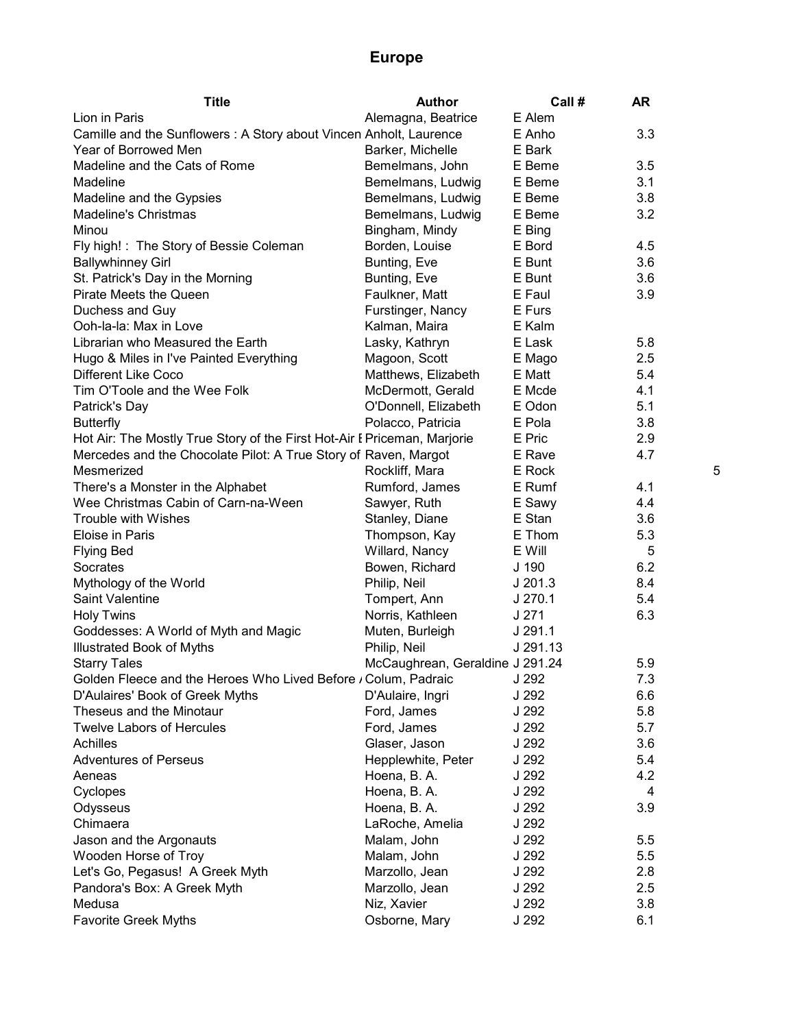| <b>Title</b>                                                             | <b>Author</b>                   | Call #    | <b>AR</b> |   |
|--------------------------------------------------------------------------|---------------------------------|-----------|-----------|---|
| Lion in Paris                                                            | Alemagna, Beatrice              | E Alem    |           |   |
| Camille and the Sunflowers: A Story about Vincen Anholt, Laurence        |                                 | E Anho    | 3.3       |   |
| Year of Borrowed Men                                                     | Barker, Michelle                | E Bark    |           |   |
| Madeline and the Cats of Rome                                            | Bemelmans, John                 | E Beme    | 3.5       |   |
| Madeline                                                                 | Bemelmans, Ludwig               | E Beme    | 3.1       |   |
| Madeline and the Gypsies                                                 | Bemelmans, Ludwig               | E Beme    | 3.8       |   |
| <b>Madeline's Christmas</b>                                              | Bemelmans, Ludwig               | E Beme    | 3.2       |   |
| Minou                                                                    | Bingham, Mindy                  | E Bing    |           |   |
| Fly high! : The Story of Bessie Coleman                                  | Borden, Louise                  | E Bord    | 4.5       |   |
| <b>Ballywhinney Girl</b>                                                 | Bunting, Eve                    | E Bunt    | 3.6       |   |
| St. Patrick's Day in the Morning                                         | Bunting, Eve                    | E Bunt    | 3.6       |   |
| Pirate Meets the Queen                                                   | Faulkner, Matt                  | E Faul    | 3.9       |   |
| Duchess and Guy                                                          | Furstinger, Nancy               | E Furs    |           |   |
| Ooh-la-la: Max in Love                                                   | Kalman, Maira                   | E Kalm    |           |   |
| Librarian who Measured the Earth                                         | Lasky, Kathryn                  | E Lask    | 5.8       |   |
| Hugo & Miles in I've Painted Everything                                  | Magoon, Scott                   | E Mago    | 2.5       |   |
| <b>Different Like Coco</b>                                               | Matthews, Elizabeth             | E Matt    | 5.4       |   |
| Tim O'Toole and the Wee Folk                                             | McDermott, Gerald               | E Mcde    | 4.1       |   |
| Patrick's Day                                                            | O'Donnell, Elizabeth            | E Odon    | 5.1       |   |
| <b>Butterfly</b>                                                         | Polacco, Patricia               | E Pola    | 3.8       |   |
| Hot Air: The Mostly True Story of the First Hot-Air I Priceman, Marjorie |                                 | E Pric    | 2.9       |   |
| Mercedes and the Chocolate Pilot: A True Story of Raven, Margot          |                                 | E Rave    | 4.7       |   |
| Mesmerized                                                               | Rockliff, Mara                  | E Rock    |           | 5 |
| There's a Monster in the Alphabet                                        | Rumford, James                  | E Rumf    | 4.1       |   |
| Wee Christmas Cabin of Carn-na-Ween                                      | Sawyer, Ruth                    | E Sawy    | 4.4       |   |
| Trouble with Wishes                                                      | Stanley, Diane                  | E Stan    | 3.6       |   |
| Eloise in Paris                                                          | Thompson, Kay                   | E Thom    | 5.3       |   |
| <b>Flying Bed</b>                                                        | Willard, Nancy                  | E Will    | 5         |   |
| Socrates                                                                 | Bowen, Richard                  | J 190     | 6.2       |   |
| Mythology of the World                                                   | Philip, Neil                    | $J$ 201.3 | 8.4       |   |
| Saint Valentine                                                          | Tompert, Ann                    | $J$ 270.1 | 5.4       |   |
| <b>Holy Twins</b>                                                        | Norris, Kathleen                | J 271     | 6.3       |   |
| Goddesses: A World of Myth and Magic                                     | Muten, Burleigh                 | J291.1    |           |   |
| Illustrated Book of Myths                                                | Philip, Neil                    | J 291.13  |           |   |
| <b>Starry Tales</b>                                                      | McCaughrean, Geraldine J 291.24 |           | 5.9       |   |
| Golden Fleece and the Heroes Who Lived Before / Colum, Padraic J 292     |                                 |           | 7.3       |   |
| D'Aulaires' Book of Greek Myths                                          | D'Aulaire, Ingri                | J 292     | 6.6       |   |
| Theseus and the Minotaur                                                 | Ford, James                     | J 292     | 5.8       |   |
| <b>Twelve Labors of Hercules</b>                                         | Ford, James                     | J 292     | 5.7       |   |
| Achilles                                                                 | Glaser, Jason                   | J 292     | 3.6       |   |
| <b>Adventures of Perseus</b>                                             | Hepplewhite, Peter              | J 292     | 5.4       |   |
| Aeneas                                                                   | Hoena, B. A.                    | J 292     | 4.2       |   |
| Cyclopes                                                                 | Hoena, B. A.                    | J 292     | 4         |   |
| Odysseus                                                                 | Hoena, B. A.                    | J 292     | 3.9       |   |
| Chimaera                                                                 | LaRoche, Amelia                 | J 292     |           |   |
| Jason and the Argonauts                                                  | Malam, John                     | J 292     | 5.5       |   |
| Wooden Horse of Troy                                                     | Malam, John                     | J 292     | 5.5       |   |
| Let's Go, Pegasus! A Greek Myth                                          | Marzollo, Jean                  | J 292     | 2.8       |   |
| Pandora's Box: A Greek Myth                                              | Marzollo, Jean                  | J 292     | 2.5       |   |
| Medusa                                                                   | Niz, Xavier                     | J 292     | 3.8       |   |
| <b>Favorite Greek Myths</b>                                              | Osborne, Mary                   | J 292     | 6.1       |   |
|                                                                          |                                 |           |           |   |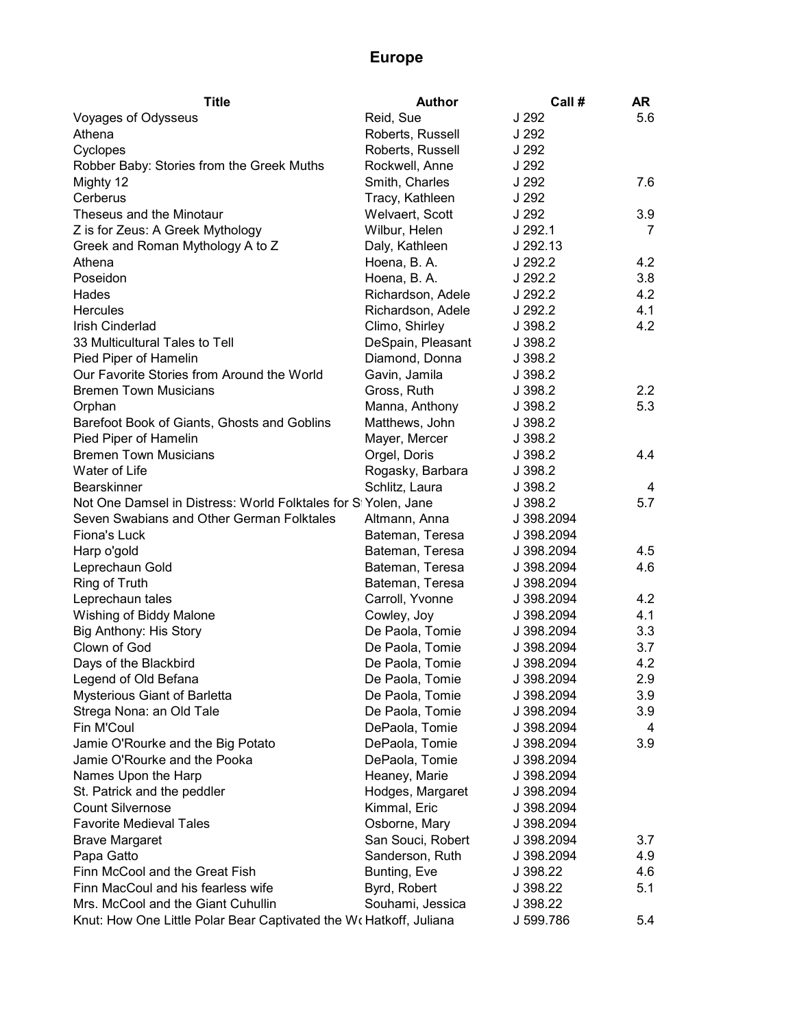| Title                                                              | <b>Author</b>     | Call #     | AR  |
|--------------------------------------------------------------------|-------------------|------------|-----|
| Voyages of Odysseus                                                | Reid, Sue         | J 292      | 5.6 |
| Athena                                                             | Roberts, Russell  | J 292      |     |
| Cyclopes                                                           | Roberts, Russell  | J 292      |     |
| Robber Baby: Stories from the Greek Muths                          | Rockwell, Anne    | J 292      |     |
| Mighty 12                                                          | Smith, Charles    | J 292      | 7.6 |
| Cerberus                                                           | Tracy, Kathleen   | J 292      |     |
| Theseus and the Minotaur                                           | Welvaert, Scott   | J 292      | 3.9 |
| Z is for Zeus: A Greek Mythology                                   | Wilbur, Helen     | J 292.1    | 7   |
| Greek and Roman Mythology A to Z                                   | Daly, Kathleen    | J 292.13   |     |
| Athena                                                             | Hoena, B. A.      | J 292.2    | 4.2 |
| Poseidon                                                           | Hoena, B. A.      | J 292.2    | 3.8 |
| Hades                                                              | Richardson, Adele | J 292.2    | 4.2 |
| <b>Hercules</b>                                                    | Richardson, Adele | J 292.2    | 4.1 |
| Irish Cinderlad                                                    | Climo, Shirley    | J 398.2    | 4.2 |
| 33 Multicultural Tales to Tell                                     | DeSpain, Pleasant | J 398.2    |     |
| Pied Piper of Hamelin                                              | Diamond, Donna    | J 398.2    |     |
| Our Favorite Stories from Around the World                         | Gavin, Jamila     | J 398.2    |     |
| <b>Bremen Town Musicians</b>                                       | Gross, Ruth       | J 398.2    | 2.2 |
| Orphan                                                             | Manna, Anthony    | J 398.2    | 5.3 |
| Barefoot Book of Giants, Ghosts and Goblins                        | Matthews, John    | J 398.2    |     |
| Pied Piper of Hamelin                                              | Mayer, Mercer     | J 398.2    |     |
| <b>Bremen Town Musicians</b>                                       | Orgel, Doris      | J 398.2    | 4.4 |
| Water of Life                                                      | Rogasky, Barbara  | J 398.2    |     |
| <b>Bearskinner</b>                                                 | Schlitz, Laura    | J 398.2    | 4   |
| Not One Damsel in Distress: World Folktales for SI Yolen, Jane     |                   | J 398.2    | 5.7 |
| Seven Swabians and Other German Folktales                          | Altmann, Anna     | J 398.2094 |     |
| Fiona's Luck                                                       | Bateman, Teresa   | J 398.2094 |     |
| Harp o'gold                                                        | Bateman, Teresa   | J 398.2094 | 4.5 |
| Leprechaun Gold                                                    | Bateman, Teresa   | J 398.2094 | 4.6 |
| Ring of Truth                                                      | Bateman, Teresa   | J 398.2094 |     |
| Leprechaun tales                                                   | Carroll, Yvonne   | J 398.2094 | 4.2 |
| Wishing of Biddy Malone                                            | Cowley, Joy       | J 398.2094 | 4.1 |
| Big Anthony: His Story                                             | De Paola, Tomie   | J 398.2094 | 3.3 |
| Clown of God                                                       | De Paola, Tomie   | J 398.2094 | 3.7 |
| Days of the Blackbird                                              | De Paola, Tomie   | J 398.2094 | 4.2 |
| Legend of Old Befana                                               | De Paola, Tomie   | J 398.2094 | 2.9 |
| Mysterious Giant of Barletta                                       | De Paola, Tomie   | J 398.2094 | 3.9 |
| Strega Nona: an Old Tale                                           | De Paola, Tomie   | J 398.2094 | 3.9 |
| Fin M'Coul                                                         | DePaola, Tomie    | J 398.2094 | 4   |
| Jamie O'Rourke and the Big Potato                                  | DePaola, Tomie    | J 398.2094 | 3.9 |
| Jamie O'Rourke and the Pooka                                       | DePaola, Tomie    | J 398.2094 |     |
| Names Upon the Harp                                                | Heaney, Marie     | J 398.2094 |     |
| St. Patrick and the peddler                                        | Hodges, Margaret  | J 398.2094 |     |
| <b>Count Silvernose</b>                                            | Kimmal, Eric      | J 398.2094 |     |
| <b>Favorite Medieval Tales</b>                                     | Osborne, Mary     | J 398.2094 |     |
| <b>Brave Margaret</b>                                              | San Souci, Robert | J 398.2094 | 3.7 |
| Papa Gatto                                                         | Sanderson, Ruth   | J 398.2094 | 4.9 |
| Finn McCool and the Great Fish                                     | Bunting, Eve      | J 398.22   | 4.6 |
| Finn MacCoul and his fearless wife                                 | Byrd, Robert      | J 398.22   | 5.1 |
| Mrs. McCool and the Giant Cuhullin                                 | Souhami, Jessica  | J 398.22   |     |
| Knut: How One Little Polar Bear Captivated the Wo Hatkoff, Juliana |                   | J 599.786  | 5.4 |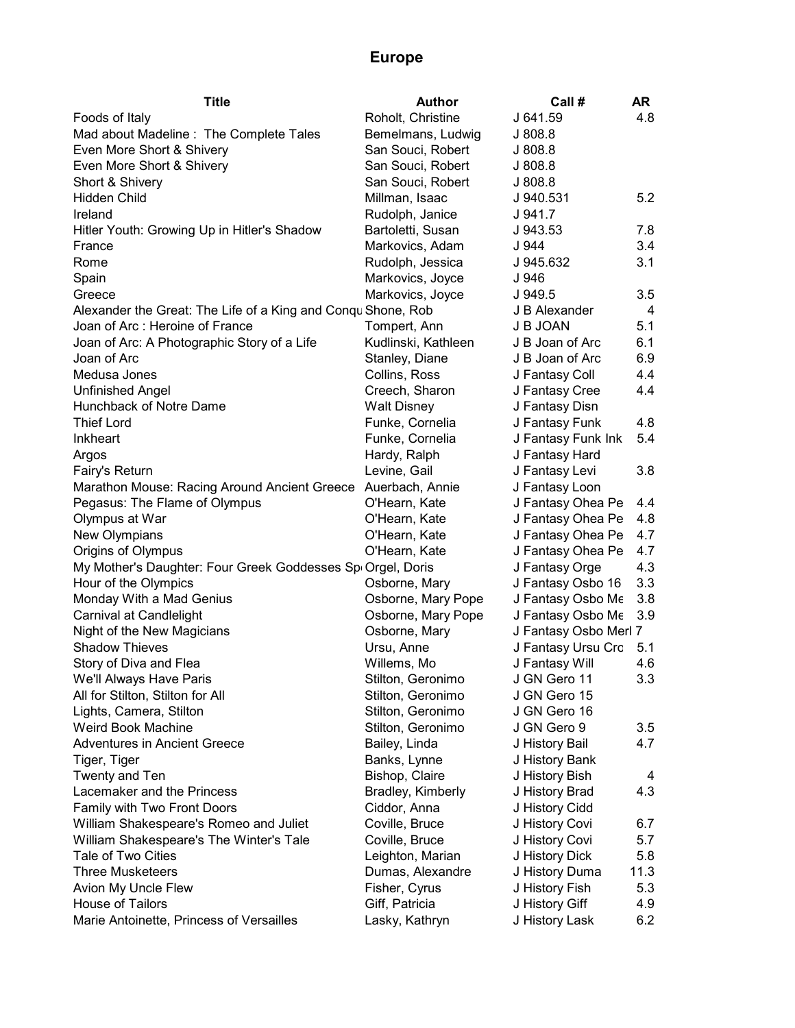| <b>Title</b>                                                 | <b>Author</b>       | Call #                | AR   |
|--------------------------------------------------------------|---------------------|-----------------------|------|
| Foods of Italy                                               | Roholt, Christine   | J 641.59              | 4.8  |
| Mad about Madeline: The Complete Tales                       | Bemelmans, Ludwig   | J 808.8               |      |
| Even More Short & Shivery                                    | San Souci, Robert   | J808.8                |      |
| Even More Short & Shivery                                    | San Souci, Robert   | J 808.8               |      |
| Short & Shivery                                              | San Souci, Robert   | J 808.8               |      |
| Hidden Child                                                 | Millman, Isaac      | J 940.531             | 5.2  |
| Ireland                                                      | Rudolph, Janice     | J 941.7               |      |
| Hitler Youth: Growing Up in Hitler's Shadow                  | Bartoletti, Susan   | J 943.53              | 7.8  |
| France                                                       | Markovics, Adam     | J 944                 | 3.4  |
| Rome                                                         | Rudolph, Jessica    | J 945.632             | 3.1  |
| Spain                                                        | Markovics, Joyce    | J 946                 |      |
| Greece                                                       | Markovics, Joyce    | J 949.5               | 3.5  |
| Alexander the Great: The Life of a King and Conqu Shone, Rob |                     | J B Alexander         | 4    |
| Joan of Arc: Heroine of France                               | Tompert, Ann        | J B JOAN              | 5.1  |
| Joan of Arc: A Photographic Story of a Life                  | Kudlinski, Kathleen | J B Joan of Arc       | 6.1  |
| Joan of Arc                                                  | Stanley, Diane      | J B Joan of Arc       | 6.9  |
| Medusa Jones                                                 | Collins, Ross       | J Fantasy Coll        | 4.4  |
| <b>Unfinished Angel</b>                                      | Creech, Sharon      | J Fantasy Cree        | 4.4  |
| Hunchback of Notre Dame                                      | <b>Walt Disney</b>  | J Fantasy Disn        |      |
| <b>Thief Lord</b>                                            | Funke, Cornelia     | J Fantasy Funk        | 4.8  |
| Inkheart                                                     | Funke, Cornelia     | J Fantasy Funk Ink    | 5.4  |
| Argos                                                        | Hardy, Ralph        | J Fantasy Hard        |      |
| Fairy's Return                                               | Levine, Gail        | J Fantasy Levi        | 3.8  |
| Marathon Mouse: Racing Around Ancient Greece                 | Auerbach, Annie     | J Fantasy Loon        |      |
| Pegasus: The Flame of Olympus                                | O'Hearn, Kate       | J Fantasy Ohea Pe     | 4.4  |
| Olympus at War                                               | O'Hearn, Kate       | J Fantasy Ohea Pe     | 4.8  |
| New Olympians                                                | O'Hearn, Kate       | J Fantasy Ohea Pe     | 4.7  |
| Origins of Olympus                                           | O'Hearn, Kate       | J Fantasy Ohea Pe     | 4.7  |
| My Mother's Daughter: Four Greek Goddesses Spi Orgel, Doris  |                     | J Fantasy Orge        | 4.3  |
| Hour of the Olympics                                         | Osborne, Mary       | J Fantasy Osbo 16     | 3.3  |
| Monday With a Mad Genius                                     | Osborne, Mary Pope  | J Fantasy Osbo Me     | 3.8  |
| Carnival at Candlelight                                      | Osborne, Mary Pope  | J Fantasy Osbo Me     | 3.9  |
| Night of the New Magicians                                   | Osborne, Mary       | J Fantasy Osbo Merl 7 |      |
| <b>Shadow Thieves</b>                                        | Ursu, Anne          | J Fantasy Ursu Cro    | 5.1  |
| Story of Diva and Flea                                       | Willems, Mo         | J Fantasy Will        | 4.6  |
| We'll Always Have Paris                                      | Stilton, Geronimo   | J GN Gero 11          | 3.3  |
| All for Stilton, Stilton for All                             | Stilton, Geronimo   | J GN Gero 15          |      |
| Lights, Camera, Stilton                                      | Stilton, Geronimo   | J GN Gero 16          |      |
| Weird Book Machine                                           | Stilton, Geronimo   | J GN Gero 9           | 3.5  |
| <b>Adventures in Ancient Greece</b>                          | Bailey, Linda       | J History Bail        | 4.7  |
| Tiger, Tiger                                                 | Banks, Lynne        | J History Bank        |      |
| Twenty and Ten                                               | Bishop, Claire      | J History Bish        | 4    |
| Lacemaker and the Princess                                   | Bradley, Kimberly   | J History Brad        | 4.3  |
| Family with Two Front Doors                                  | Ciddor, Anna        | J History Cidd        |      |
| William Shakespeare's Romeo and Juliet                       | Coville, Bruce      | J History Covi        | 6.7  |
| William Shakespeare's The Winter's Tale                      | Coville, Bruce      | J History Covi        | 5.7  |
| Tale of Two Cities                                           | Leighton, Marian    | J History Dick        | 5.8  |
| <b>Three Musketeers</b>                                      | Dumas, Alexandre    | J History Duma        | 11.3 |
| Avion My Uncle Flew                                          | Fisher, Cyrus       | J History Fish        | 5.3  |
| House of Tailors                                             | Giff, Patricia      | J History Giff        | 4.9  |
| Marie Antoinette, Princess of Versailles                     | Lasky, Kathryn      | J History Lask        | 6.2  |